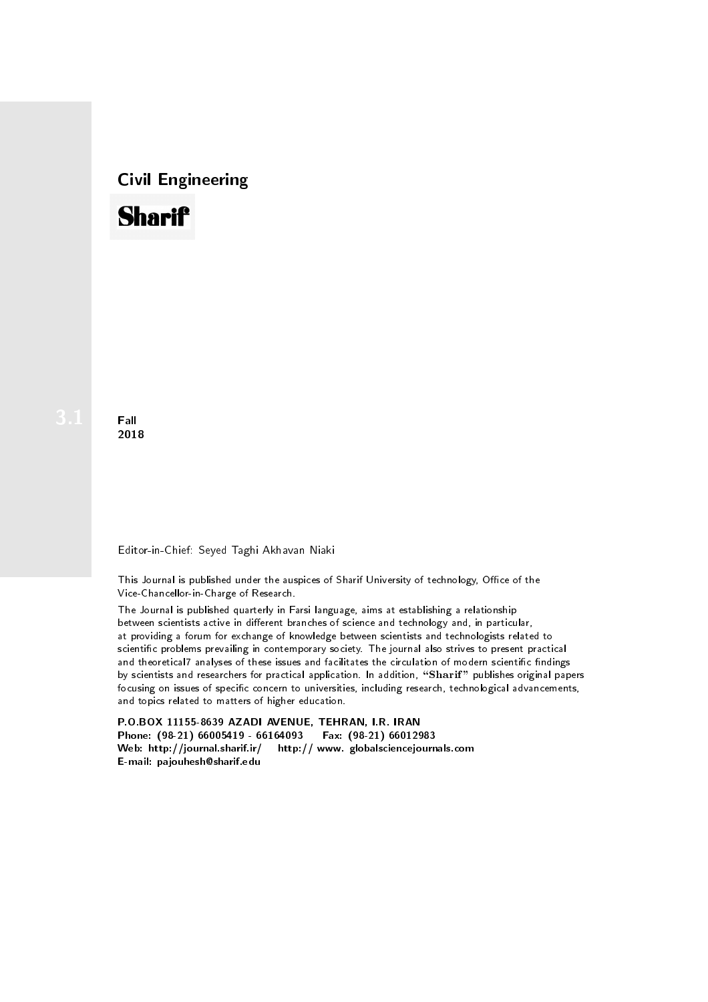# Civil Engineering



**Fall** 2018

### Editor-in-Chief: Seyed Taghi Akhavan Niaki

This Journal is published under the auspices of Sharif University of technology, Office of the Vice-Chancellor-in-Charge of Research.

The Journal is published quarterly in Farsi language, aims at establishing a relationship between scientists active in different branches of science and technology and, in particular, at providing a forum for exchange of knowledge between scientists and technologists related to scientic problems prevailing in contemporary society. The journal also strives to present practical and theoretical7 analyses of these issues and facilitates the circulation of modern scientific findings by scientists and researchers for practical application. In addition, "Sharif" publishes original papers focusing on issues of specific concern to universities, including research, technological advancements, and topics related to matters of higher education.

P.O.BOX 11155-8639 AZADI AVENUE, TEHRAN, I.R. IRAN Phone: (98-21) 66005419 - 66164093 Fax: (98-21) 66012983 Web: http://journal.sharif.ir/ http:// www. globalsciencejournals.com E-mail: pajouhesh@sharif.edu